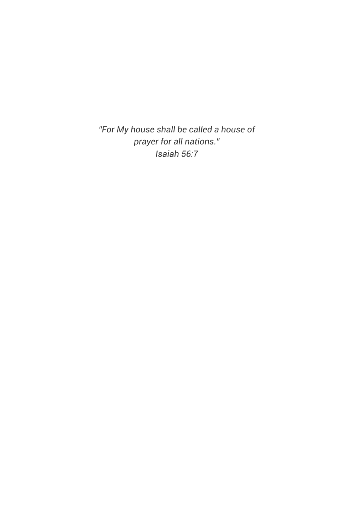*"For My house shall be called a house of prayer for all nations." Isaiah 56:7*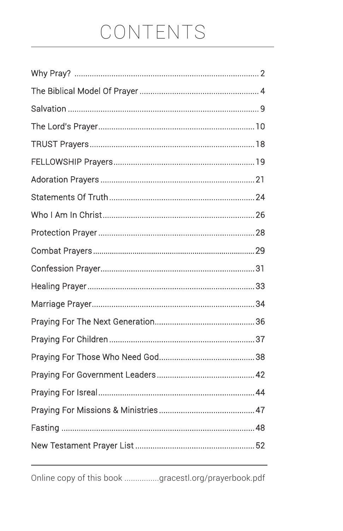# CONTENTS

Online copy of this book ................gracestl.org/prayerbook.pdf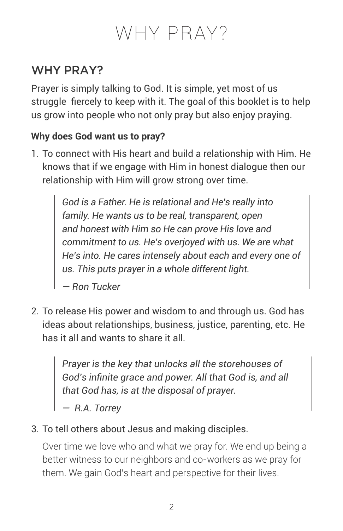# WHY PRAY?

Prayer is simply talking to God. It is simple, yet most of us struggle fiercely to keep with it. The goal of this booklet is to help us grow into people who not only pray but also enjoy praying.

# **Why does God want us to pray?**

1. To connect with His heart and build a relationship with Him. He knows that if we engage with Him in honest dialogue then our relationship with Him will grow strong over time.

> *God is a Father. He is relational and He's really into family. He wants us to be real, transparent, open and honest with Him so He can prove His love and commitment to us. He's overjoyed with us. We are what He's into. He cares intensely about each and every one of us. This puts prayer in a whole different light.*

*— Ron Tucker*

2. To release His power and wisdom to and through us. God has ideas about relationships, business, justice, parenting, etc. He has it all and wants to share it all.

> *Prayer is the key that unlocks all the storehouses of God's infinite grace and power. All that God is, and all that God has, is at the disposal of prayer.*

*— R.A. Torrey* 

3. To tell others about Jesus and making disciples.

Over time we love who and what we pray for. We end up being a better witness to our neighbors and co-workers as we pray for them. We gain God's heart and perspective for their lives.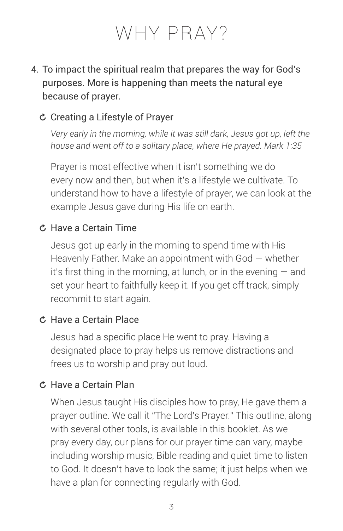# 4. To impact the spiritual realm that prepares the way for God's purposes. More is happening than meets the natural eye because of prayer.

# Creating a Lifestyle of Prayer

*Very early in the morning, while it was still dark, Jesus got up, left the house and went off to a solitary place, where He prayed. Mark 1:35*

Prayer is most effective when it isn't something we do every now and then, but when it's a lifestyle we cultivate. To understand how to have a lifestyle of prayer, we can look at the example Jesus gave during His life on earth.

### Have a Certain Time

Jesus got up early in the morning to spend time with His Heavenly Father. Make an appointment with God — whether it's first thing in the morning, at lunch, or in the evening — and set your heart to faithfully keep it. If you get off track, simply recommit to start again.

### Have a Certain Place

Jesus had a specific place He went to pray. Having a designated place to pray helps us remove distractions and frees us to worship and pray out loud.

# Have a Certain Plan

When Jesus taught His disciples how to pray, He gave them a prayer outline. We call it "The Lord's Prayer." This outline, along with several other tools, is available in this booklet. As we pray every day, our plans for our prayer time can vary, maybe including worship music, Bible reading and quiet time to listen to God. It doesn't have to look the same; it just helps when we have a plan for connecting regularly with God.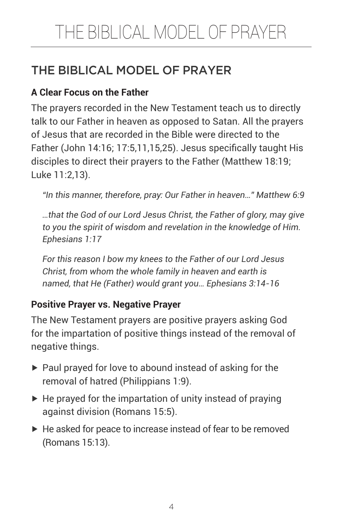# THE BIBLICAL MODEL OF PRAYER

# **A Clear Focus on the Father**

The prayers recorded in the New Testament teach us to directly talk to our Father in heaven as opposed to Satan. All the prayers of Jesus that are recorded in the Bible were directed to the Father (John 14:16; 17:5,11,15,25). Jesus specifically taught His disciples to direct their prayers to the Father (Matthew 18:19; Luke 11:2,13).

*"In this manner, therefore, pray: Our Father in heaven…" Matthew 6:9*

*…that the God of our Lord Jesus Christ, the Father of glory, may give to you the spirit of wisdom and revelation in the knowledge of Him. Ephesians 1:17*

*For this reason I bow my knees to the Father of our Lord Jesus Christ, from whom the whole family in heaven and earth is named, that He (Father) would grant you… Ephesians 3:14-16*

### **Positive Prayer vs. Negative Prayer**

The New Testament prayers are positive prayers asking God for the impartation of positive things instead of the removal of negative things.

- $\blacktriangleright$  Paul prayed for love to abound instead of asking for the removal of hatred (Philippians 1:9).
- $\blacktriangleright$  He prayed for the impartation of unity instead of praying against division (Romans 15:5).
- ▶ He asked for peace to increase instead of fear to be removed (Romans 15:13).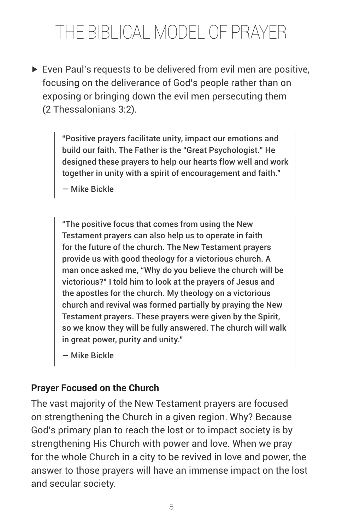$\triangleright$  Even Paul's requests to be delivered from evil men are positive, focusing on the deliverance of God's people rather than on exposing or bringing down the evil men persecuting them (2 Thessalonians 3:2).

> "Positive prayers facilitate unity, impact our emotions and build our faith. The Father is the "Great Psychologist." He designed these prayers to help our hearts flow well and work together in unity with a spirit of encouragement and faith."

— Mike Bickle

"The positive focus that comes from using the New Testament prayers can also help us to operate in faith for the future of the church. The New Testament prayers provide us with good theology for a victorious church. A man once asked me, "Why do you believe the church will be victorious?" I told him to look at the prayers of Jesus and the apostles for the church. My theology on a victorious church and revival was formed partially by praying the New Testament prayers. These prayers were given by the Spirit, so we know they will be fully answered. The church will walk in great power, purity and unity."

— Mike Bickle

# **Prayer Focused on the Church**

The vast majority of the New Testament prayers are focused on strengthening the Church in a given region. Why? Because God's primary plan to reach the lost or to impact society is by strengthening His Church with power and love. When we pray for the whole Church in a city to be revived in love and power, the answer to those prayers will have an immense impact on the lost and secular society.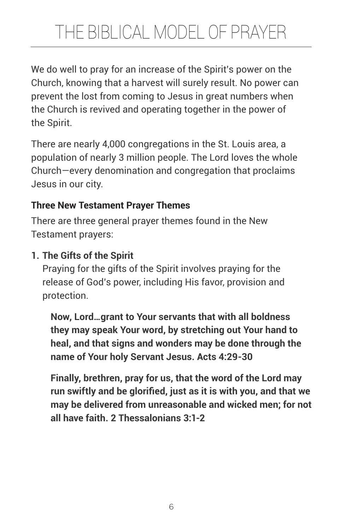We do well to pray for an increase of the Spirit's power on the Church, knowing that a harvest will surely result. No power can prevent the lost from coming to Jesus in great numbers when the Church is revived and operating together in the power of the Spirit.

There are nearly 4,000 congregations in the St. Louis area, a population of nearly 3 million people. The Lord loves the whole Church—every denomination and congregation that proclaims Jesus in our city.

# **Three New Testament Prayer Themes**

There are three general prayer themes found in the New Testament prayers:

# **1. The Gifts of the Spirit**

Praying for the gifts of the Spirit involves praying for the release of God's power, including His favor, provision and protection.

**Now, Lord…grant to Your servants that with all boldness they may speak Your word, by stretching out Your hand to heal, and that signs and wonders may be done through the name of Your holy Servant Jesus. Acts 4:29-30**

**Finally, brethren, pray for us, that the word of the Lord may run swiftly and be glorified, just as it is with you, and that we may be delivered from unreasonable and wicked men; for not all have faith. 2 Thessalonians 3:1-2**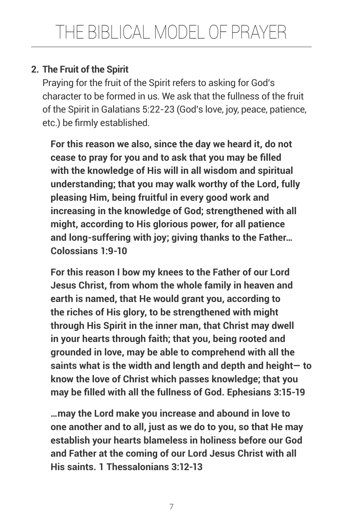# **2. The Fruit of the Spirit**

Praying for the fruit of the Spirit refers to asking for God's character to be formed in us. We ask that the fullness of the fruit of the Spirit in Galatians 5:22-23 (God's love, joy, peace, patience, etc.) be firmly established.

**For this reason we also, since the day we heard it, do not cease to pray for you and to ask that you may be filled with the knowledge of His will in all wisdom and spiritual understanding; that you may walk worthy of the Lord, fully pleasing Him, being fruitful in every good work and increasing in the knowledge of God; strengthened with all might, according to His glorious power, for all patience and long-suffering with joy; giving thanks to the Father… Colossians 1:9-10**

**For this reason I bow my knees to the Father of our Lord Jesus Christ, from whom the whole family in heaven and earth is named, that He would grant you, according to the riches of His glory, to be strengthened with might through His Spirit in the inner man, that Christ may dwell in your hearts through faith; that you, being rooted and grounded in love, may be able to comprehend with all the saints what is the width and length and depth and height— to know the love of Christ which passes knowledge; that you may be filled with all the fullness of God. Ephesians 3:15-19**

**…may the Lord make you increase and abound in love to one another and to all, just as we do to you, so that He may establish your hearts blameless in holiness before our God and Father at the coming of our Lord Jesus Christ with all His saints. 1 Thessalonians 3:12-13**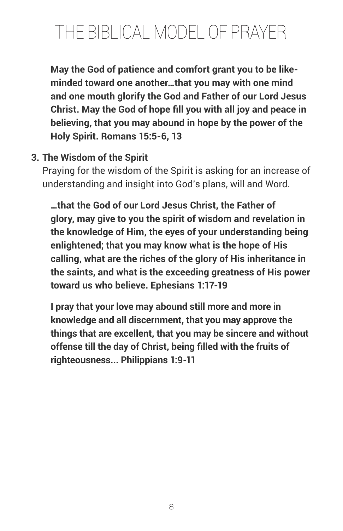**May the God of patience and comfort grant you to be likeminded toward one another…that you may with one mind and one mouth glorify the God and Father of our Lord Jesus Christ. May the God of hope fill you with all joy and peace in believing, that you may abound in hope by the power of the Holy Spirit. Romans 15:5-6, 13**

# **3. The Wisdom of the Spirit**

Praying for the wisdom of the Spirit is asking for an increase of understanding and insight into God's plans, will and Word.

**…that the God of our Lord Jesus Christ, the Father of glory, may give to you the spirit of wisdom and revelation in the knowledge of Him, the eyes of your understanding being enlightened; that you may know what is the hope of His calling, what are the riches of the glory of His inheritance in the saints, and what is the exceeding greatness of His power toward us who believe. Ephesians 1:17-19**

**I pray that your love may abound still more and more in knowledge and all discernment, that you may approve the things that are excellent, that you may be sincere and without offense till the day of Christ, being filled with the fruits of righteousness... Philippians 1:9-11**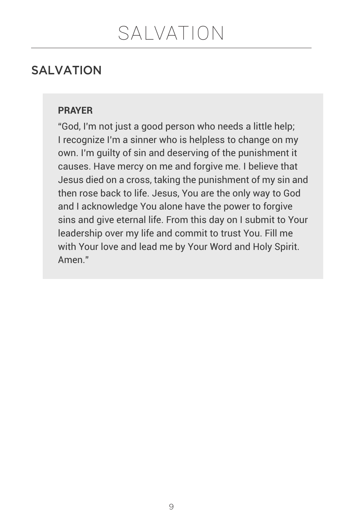# SALVATION

#### **PRAYER**

"God, I'm not just a good person who needs a little help; I recognize I'm a sinner who is helpless to change on my own. I'm guilty of sin and deserving of the punishment it causes. Have mercy on me and forgive me. I believe that Jesus died on a cross, taking the punishment of my sin and then rose back to life. Jesus, You are the only way to God and I acknowledge You alone have the power to forgive sins and give eternal life. From this day on I submit to Your leadership over my life and commit to trust You. Fill me with Your love and lead me by Your Word and Holy Spirit. Amen."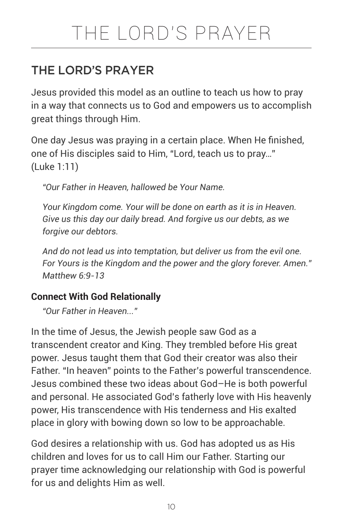# THE LORD'S PRAYER

# THE LORD'S PRAYER

Jesus provided this model as an outline to teach us how to pray in a way that connects us to God and empowers us to accomplish great things through Him.

One day Jesus was praying in a certain place. When He finished, one of His disciples said to Him, "Lord, teach us to pray…" (Luke 1:11)

*"Our Father in Heaven, hallowed be Your Name.*

*Your Kingdom come. Your will be done on earth as it is in Heaven. Give us this day our daily bread. And forgive us our debts, as we forgive our debtors.*

*And do not lead us into temptation, but deliver us from the evil one. For Yours is the Kingdom and the power and the glory forever. Amen." Matthew 6:9-13* 

### **Connect With God Relationally**

*"Our Father in Heaven..."*

In the time of Jesus, the Jewish people saw God as a transcendent creator and King. They trembled before His great power. Jesus taught them that God their creator was also their Father. "In heaven" points to the Father's powerful transcendence. Jesus combined these two ideas about God–He is both powerful and personal. He associated God's fatherly love with His heavenly power, His transcendence with His tenderness and His exalted place in glory with bowing down so low to be approachable.

God desires a relationship with us. God has adopted us as His children and loves for us to call Him our Father. Starting our prayer time acknowledging our relationship with God is powerful for us and delights Him as well.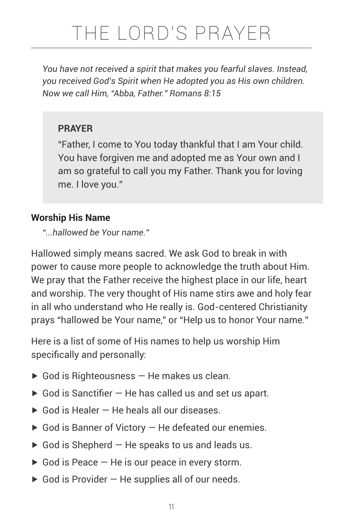# THE LORD'S PRAYER

*You have not received a spirit that makes you fearful slaves. Instead, you received God's Spirit when He adopted you as His own children. Now we call Him, "Abba, Father." Romans 8:15* 

#### **PRAYER**

"Father, I come to You today thankful that I am Your child. You have forgiven me and adopted me as Your own and I am so grateful to call you my Father. Thank you for loving me. I love you."

#### **Worship His Name**

*"...hallowed be Your name."*

Hallowed simply means sacred. We ask God to break in with power to cause more people to acknowledge the truth about Him. We pray that the Father receive the highest place in our life, heart and worship. The very thought of His name stirs awe and holy fear in all who understand who He really is. God-centered Christianity prays "hallowed be Your name," or "Help us to honor Your name."

Here is a list of some of His names to help us worship Him specifically and personally:

- $\triangleright$  God is Righteousness  $-$  He makes us clean.
- $\triangleright$  God is Sanctifier  $-$  He has called us and set us apart.
- $\triangleright$  God is Healer  $-$  He heals all our diseases.
- $\triangleright$  God is Banner of Victory  $-$  He defeated our enemies.
- $\triangleright$  God is Shepherd  $-$  He speaks to us and leads us.
- $\triangleright$  God is Peace  $-$  He is our peace in every storm.
- $\triangleright$  God is Provider  $-$  He supplies all of our needs.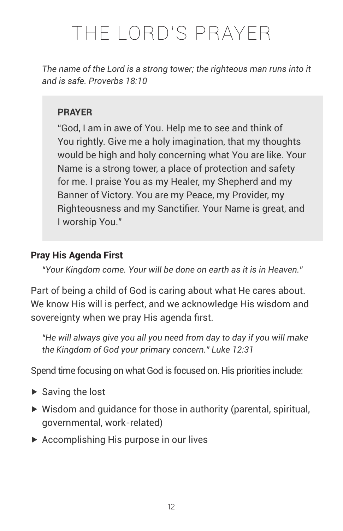*The name of the Lord is a strong tower; the righteous man runs into it and is safe. Proverbs 18:10* 

### **PRAYER**

"God, I am in awe of You. Help me to see and think of You rightly. Give me a holy imagination, that my thoughts would be high and holy concerning what You are like. Your Name is a strong tower, a place of protection and safety for me. I praise You as my Healer, my Shepherd and my Banner of Victory. You are my Peace, my Provider, my Righteousness and my Sanctifier. Your Name is great, and I worship You."

#### **Pray His Agenda First**

*"Your Kingdom come. Your will be done on earth as it is in Heaven."*

Part of being a child of God is caring about what He cares about. We know His will is perfect, and we acknowledge His wisdom and sovereignty when we pray His agenda first.

*"He will always give you all you need from day to day if you will make the Kingdom of God your primary concern." Luke 12:31* 

Spend time focusing on what God is focused on. His priorities include:

- $\blacktriangleright$  Saving the lost
- $\triangleright$  Wisdom and quidance for those in authority (parental, spiritual, governmental, work-related)
- ▶ Accomplishing His purpose in our lives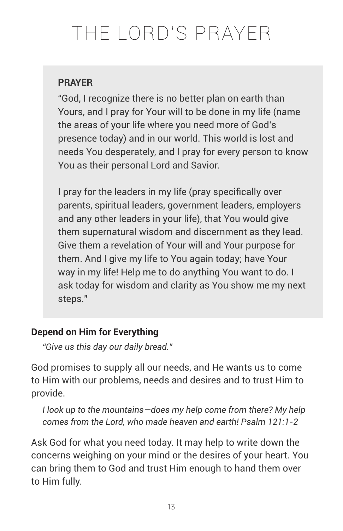"God, I recognize there is no better plan on earth than Yours, and I pray for Your will to be done in my life (name the areas of your life where you need more of God's presence today) and in our world. This world is lost and needs You desperately, and I pray for every person to know You as their personal Lord and Savior.

I pray for the leaders in my life (pray specifically over parents, spiritual leaders, government leaders, employers and any other leaders in your life), that You would give them supernatural wisdom and discernment as they lead. Give them a revelation of Your will and Your purpose for them. And I give my life to You again today; have Your way in my life! Help me to do anything You want to do. I ask today for wisdom and clarity as You show me my next steps."

# **Depend on Him for Everything**

*"Give us this day our daily bread."*

God promises to supply all our needs, and He wants us to come to Him with our problems, needs and desires and to trust Him to provide.

*I look up to the mountains—does my help come from there? My help comes from the Lord, who made heaven and earth! Psalm 121:1-2* 

Ask God for what you need today. It may help to write down the concerns weighing on your mind or the desires of your heart. You can bring them to God and trust Him enough to hand them over to Him fully.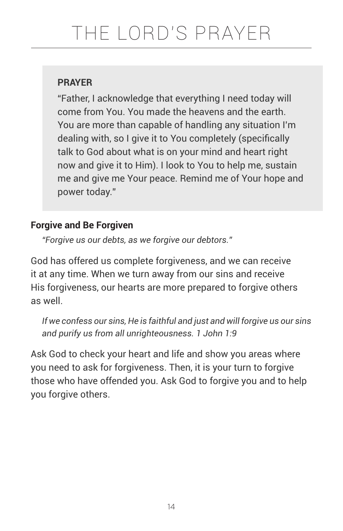"Father, I acknowledge that everything I need today will come from You. You made the heavens and the earth. You are more than capable of handling any situation I'm dealing with, so I give it to You completely (specifically talk to God about what is on your mind and heart right now and give it to Him). I look to You to help me, sustain me and give me Your peace. Remind me of Your hope and power today."

# **Forgive and Be Forgiven**

*"Forgive us our debts, as we forgive our debtors."*

God has offered us complete forgiveness, and we can receive it at any time. When we turn away from our sins and receive His forgiveness, our hearts are more prepared to forgive others as well.

*If we confess our sins, He is faithful and just and will forgive us our sins and purify us from all unrighteousness. 1 John 1:9* 

Ask God to check your heart and life and show you areas where you need to ask for forgiveness. Then, it is your turn to forgive those who have offended you. Ask God to forgive you and to help you forgive others.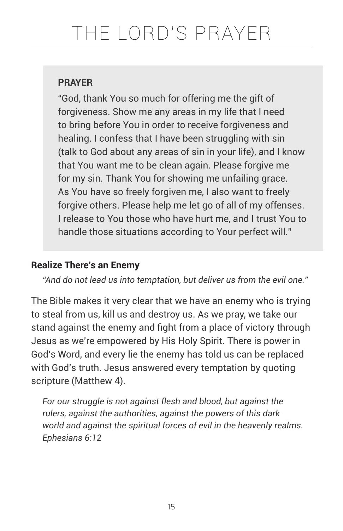"God, thank You so much for offering me the gift of forgiveness. Show me any areas in my life that I need to bring before You in order to receive forgiveness and healing. I confess that I have been struggling with sin (talk to God about any areas of sin in your life), and I know that You want me to be clean again. Please forgive me for my sin. Thank You for showing me unfailing grace. As You have so freely forgiven me, I also want to freely forgive others. Please help me let go of all of my offenses. I release to You those who have hurt me, and I trust You to handle those situations according to Your perfect will."

### **Realize There's an Enemy**

*"And do not lead us into temptation, but deliver us from the evil one."*

The Bible makes it very clear that we have an enemy who is trying to steal from us, kill us and destroy us. As we pray, we take our stand against the enemy and fight from a place of victory through Jesus as we're empowered by His Holy Spirit. There is power in God's Word, and every lie the enemy has told us can be replaced with God's truth. Jesus answered every temptation by quoting scripture (Matthew 4).

*For our struggle is not against flesh and blood, but against the rulers, against the authorities, against the powers of this dark world and against the spiritual forces of evil in the heavenly realms. Ephesians 6:12*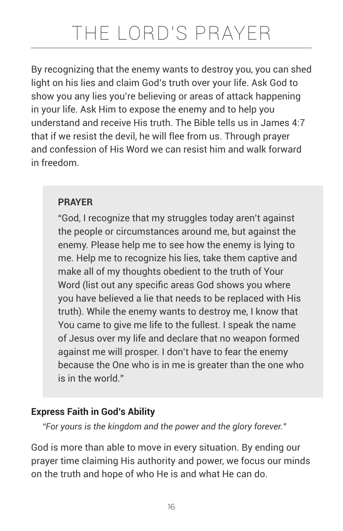By recognizing that the enemy wants to destroy you, you can shed light on his lies and claim God's truth over your life. Ask God to show you any lies you're believing or areas of attack happening in your life. Ask Him to expose the enemy and to help you understand and receive His truth. The Bible tells us in James 4:7 that if we resist the devil, he will flee from us. Through prayer and confession of His Word we can resist him and walk forward in freedom.

### **PRAYER**

"God, I recognize that my struggles today aren't against the people or circumstances around me, but against the enemy. Please help me to see how the enemy is lying to me. Help me to recognize his lies, take them captive and make all of my thoughts obedient to the truth of Your Word (list out any specific areas God shows you where you have believed a lie that needs to be replaced with His truth). While the enemy wants to destroy me, I know that You came to give me life to the fullest. I speak the name of Jesus over my life and declare that no weapon formed against me will prosper. I don't have to fear the enemy because the One who is in me is greater than the one who is in the world."

# **Express Faith in God's Ability**

*"For yours is the kingdom and the power and the glory forever."*

God is more than able to move in every situation. By ending our prayer time claiming His authority and power, we focus our minds on the truth and hope of who He is and what He can do.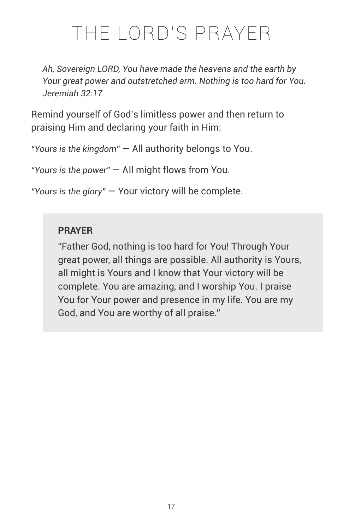# THE LORD'S PRAYER

*Ah, Sovereign LORD, You have made the heavens and the earth by Your great power and outstretched arm. Nothing is too hard for You. Jeremiah 32:17*

Remind yourself of God's limitless power and then return to praising Him and declaring your faith in Him:

*"Yours is the kingdom"* — All authority belongs to You.

*"Yours is the power"* — All might flows from You.

*"Yours is the glory"* — Your victory will be complete.

#### **PRAYER**

"Father God, nothing is too hard for You! Through Your great power, all things are possible. All authority is Yours, all might is Yours and I know that Your victory will be complete. You are amazing, and I worship You. I praise You for Your power and presence in my life. You are my God, and You are worthy of all praise."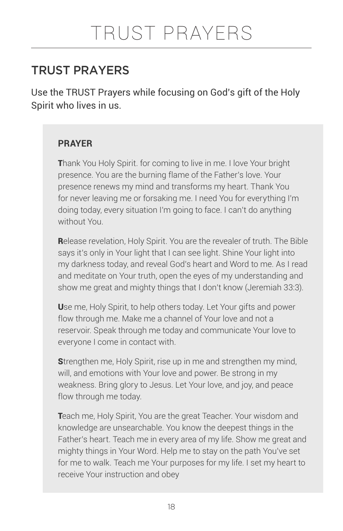# TRUST PRAYERS

Use the TRUST Prayers while focusing on God's gift of the Holy Spirit who lives in us.

#### **PRAYER**

Thank You Holy Spirit. for coming to live in me. I love Your bright presence. You are the burning flame of the Father's love. Your presence renews my mind and transforms my heart. Thank You for never leaving me or forsaking me. I need You for everything I'm doing today, every situation I'm going to face. I can't do anything without You.

Release revelation, Holy Spirit. You are the revealer of truth. The Bible says it's only in Your light that I can see light. Shine Your light into my darkness today, and reveal God's heart and Word to me. As I read and meditate on Your truth, open the eyes of my understanding and show me great and mighty things that I don't know (Jeremiah 33:3).

Use me, Holy Spirit, to help others today. Let Your gifts and power flow through me. Make me a channel of Your love and not a reservoir. Speak through me today and communicate Your love to everyone I come in contact with.

Strengthen me, Holy Spirit, rise up in me and strengthen my mind, will, and emotions with Your love and power. Be strong in my weakness. Bring glory to Jesus. Let Your love, and joy, and peace flow through me today.

Teach me, Holy Spirit, You are the great Teacher. Your wisdom and knowledge are unsearchable. You know the deepest things in the Father's heart. Teach me in every area of my life. Show me great and mighty things in Your Word. Help me to stay on the path You've set for me to walk. Teach me Your purposes for my life. I set my heart to receive Your instruction and obey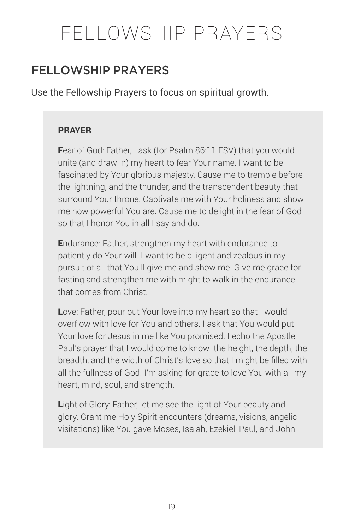# FELLOWSHIP PRAYERS

# FFLLOWSHIP PRAYERS

Use the Fellowship Prayers to focus on spiritual growth.

#### **PRAYER**

Fear of God: Father, I ask (for Psalm 86:11 ESV) that you would unite (and draw in) my heart to fear Your name. I want to be fascinated by Your glorious majesty. Cause me to tremble before the lightning, and the thunder, and the transcendent beauty that surround Your throne. Captivate me with Your holiness and show me how powerful You are. Cause me to delight in the fear of God so that I honor You in all I say and do.

Endurance: Father, strengthen my heart with endurance to patiently do Your will. I want to be diligent and zealous in my pursuit of all that You'll give me and show me. Give me grace for fasting and strengthen me with might to walk in the endurance that comes from Christ.

Love: Father, pour out Your love into my heart so that I would overflow with love for You and others. I ask that You would put Your love for Jesus in me like You promised. I echo the Apostle Paul's prayer that I would come to know the height, the depth, the breadth, and the width of Christ's love so that I might be filled with all the fullness of God. I'm asking for grace to love You with all my heart, mind, soul, and strength.

Light of Glory: Father, let me see the light of Your beauty and glory. Grant me Holy Spirit encounters (dreams, visions, angelic visitations) like You gave Moses, Isaiah, Ezekiel, Paul, and John.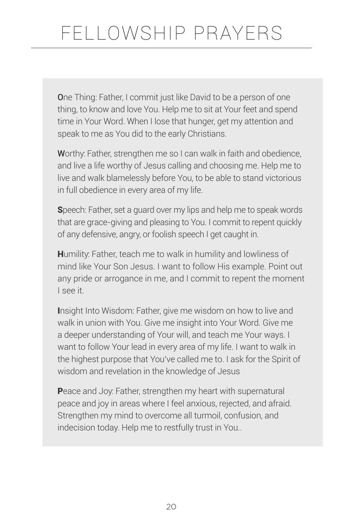One Thing: Father, I commit just like David to be a person of one thing, to know and love You. Help me to sit at Your feet and spend time in Your Word. When I lose that hunger, get my attention and speak to me as You did to the early Christians.

Worthy: Father, strengthen me so I can walk in faith and obedience, and live a life worthy of Jesus calling and choosing me. Help me to live and walk blamelessly before You, to be able to stand victorious in full obedience in every area of my life.

Speech: Father, set a guard over my lips and help me to speak words that are grace-giving and pleasing to You. I commit to repent quickly of any defensive, angry, or foolish speech I get caught in.

Humility: Father, teach me to walk in humility and lowliness of mind like Your Son Jesus. I want to follow His example. Point out any pride or arrogance in me, and I commit to repent the moment I see it.

Insight Into Wisdom: Father, give me wisdom on how to live and walk in union with You. Give me insight into Your Word. Give me a deeper understanding of Your will, and teach me Your ways. I want to follow Your lead in every area of my life. I want to walk in the highest purpose that You've called me to. I ask for the Spirit of wisdom and revelation in the knowledge of Jesus

Peace and Joy: Father, strengthen my heart with supernatural peace and joy in areas where I feel anxious, rejected, and afraid. Strengthen my mind to overcome all turmoil, confusion, and indecision today. Help me to restfully trust in You..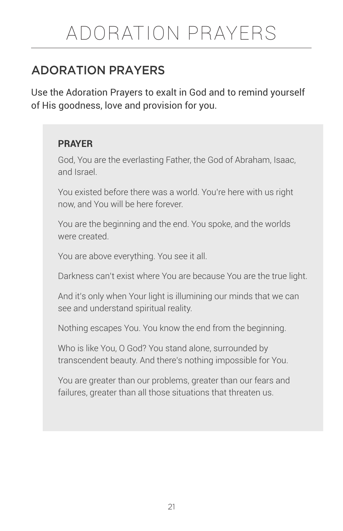# ADORATION PRAYERS

# ADORATION PRAYERS

Use the Adoration Prayers to exalt in God and to remind yourself of His goodness, love and provision for you.

#### **PRAYER**

God, You are the everlasting Father, the God of Abraham, Isaac, and Israel.

You existed before there was a world. You're here with us right now, and You will be here forever.

You are the beginning and the end. You spoke, and the worlds were created.

You are above everything. You see it all.

Darkness can't exist where You are because You are the true light.

And it's only when Your light is illumining our minds that we can see and understand spiritual reality.

Nothing escapes You. You know the end from the beginning.

Who is like You, O God? You stand alone, surrounded by transcendent beauty. And there's nothing impossible for You.

You are greater than our problems, greater than our fears and failures, greater than all those situations that threaten us.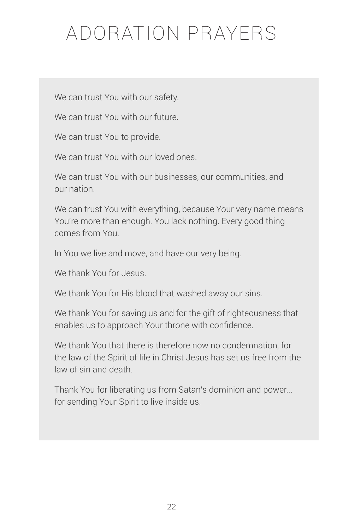# ADORATION PRAYERS

We can trust You with our safety.

We can trust You with our future.

We can trust You to provide.

We can trust You with our loved ones.

We can trust You with our businesses, our communities, and our nation.

We can trust You with everything, because Your very name means You're more than enough. You lack nothing. Every good thing comes from You.

In You we live and move, and have our very being.

We thank You for Jesus.

We thank You for His blood that washed away our sins.

We thank You for saving us and for the gift of righteousness that enables us to approach Your throne with confidence.

We thank You that there is therefore now no condemnation, for the law of the Spirit of life in Christ Jesus has set us free from the law of sin and death.

Thank You for liberating us from Satan's dominion and power... for sending Your Spirit to live inside us.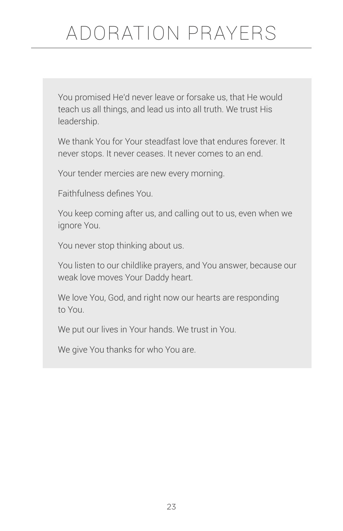# ADORATION PRAYERS

You promised He'd never leave or forsake us, that He would teach us all things, and lead us into all truth. We trust His leadership.

We thank You for Your steadfast love that endures forever. It never stops. It never ceases. It never comes to an end.

Your tender mercies are new every morning.

Faithfulness defines You.

You keep coming after us, and calling out to us, even when we ignore You.

You never stop thinking about us.

You listen to our childlike prayers, and You answer, because our weak love moves Your Daddy heart.

We love You, God, and right now our hearts are responding to You.

We put our lives in Your hands. We trust in You.

We give You thanks for who You are.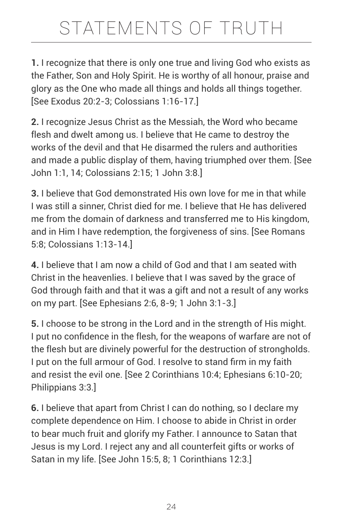**1.** I recognize that there is only one true and living God who exists as the Father, Son and Holy Spirit. He is worthy of all honour, praise and glory as the One who made all things and holds all things together. [See Exodus 20:2-3; Colossians 1:16-17.]

**2.** I recognize Jesus Christ as the Messiah, the Word who became flesh and dwelt among us. I believe that He came to destroy the works of the devil and that He disarmed the rulers and authorities and made a public display of them, having triumphed over them. [See John 1:1, 14; Colossians 2:15; 1 John 3:8.]

**3.** I believe that God demonstrated His own love for me in that while I was still a sinner, Christ died for me. I believe that He has delivered me from the domain of darkness and transferred me to His kingdom, and in Him I have redemption, the forgiveness of sins. [See Romans 5:8; Colossians 1:13-14.]

**4.** I believe that I am now a child of God and that I am seated with Christ in the heavenlies. I believe that I was saved by the grace of God through faith and that it was a gift and not a result of any works on my part. [See Ephesians 2:6, 8-9; 1 John 3:1-3.]

**5.** I choose to be strong in the Lord and in the strength of His might. I put no confidence in the flesh, for the weapons of warfare are not of the flesh but are divinely powerful for the destruction of strongholds. I put on the full armour of God. I resolve to stand firm in my faith and resist the evil one. [See 2 Corinthians 10:4; Ephesians 6:10-20; Philippians 3:3.]

**6.** I believe that apart from Christ I can do nothing, so I declare my complete dependence on Him. I choose to abide in Christ in order to bear much fruit and glorify my Father. I announce to Satan that Jesus is my Lord. I reject any and all counterfeit gifts or works of Satan in my life. [See John 15:5, 8; 1 Corinthians 12:3.]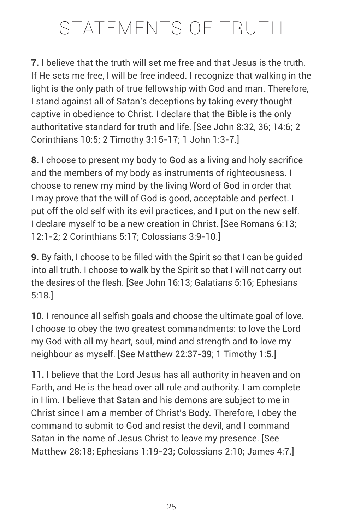**7.** I believe that the truth will set me free and that Jesus is the truth. If He sets me free, I will be free indeed. I recognize that walking in the light is the only path of true fellowship with God and man. Therefore, I stand against all of Satan's deceptions by taking every thought captive in obedience to Christ. I declare that the Bible is the only authoritative standard for truth and life. [See John 8:32, 36; 14:6; 2 Corinthians 10:5; 2 Timothy 3:15-17; 1 John 1:3-7.]

**8.** I choose to present my body to God as a living and holy sacrifice and the members of my body as instruments of righteousness. I choose to renew my mind by the living Word of God in order that I may prove that the will of God is good, acceptable and perfect. I put off the old self with its evil practices, and I put on the new self. I declare myself to be a new creation in Christ. [See Romans 6:13; 12:1-2; 2 Corinthians 5:17; Colossians 3:9-10.]

**9.** By faith, I choose to be filled with the Spirit so that I can be guided into all truth. I choose to walk by the Spirit so that I will not carry out the desires of the flesh. [See John 16:13; Galatians 5:16; Ephesians 5:18.]

**10.** I renounce all selfish goals and choose the ultimate goal of love. I choose to obey the two greatest commandments: to love the Lord my God with all my heart, soul, mind and strength and to love my neighbour as myself. [See Matthew 22:37-39; 1 Timothy 1:5.]

**11.** I believe that the Lord Jesus has all authority in heaven and on Earth, and He is the head over all rule and authority. I am complete in Him. I believe that Satan and his demons are subject to me in Christ since I am a member of Christ's Body. Therefore, I obey the command to submit to God and resist the devil, and I command Satan in the name of Jesus Christ to leave my presence. [See Matthew 28:18; Ephesians 1:19-23; Colossians 2:10; James 4:7.]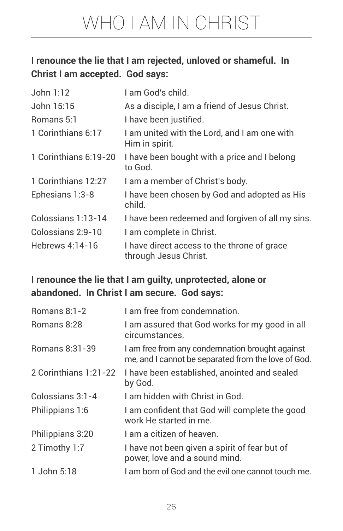### **I renounce the lie that I am rejected, unloved or shameful. In Christ I am accepted. God says:**

| John 1:12             | I am God's child.                                                    |
|-----------------------|----------------------------------------------------------------------|
| John 15:15            | As a disciple, I am a friend of Jesus Christ.                        |
| Romans 5:1            | I have been justified.                                               |
| 1 Corinthians 6:17    | I am united with the Lord, and I am one with<br>Him in spirit.       |
| 1 Corinthians 6:19-20 | I have been bought with a price and I belong<br>to God.              |
| 1 Corinthians 12:27   | I am a member of Christ's body.                                      |
| Ephesians 1:3-8       | I have been chosen by God and adopted as His<br>child.               |
| Colossians 1:13-14    | I have been redeemed and forgiven of all my sins.                    |
| Colossians 2:9-10     | I am complete in Christ.                                             |
| Hebrews 4:14-16       | I have direct access to the throne of grace<br>through Jesus Christ. |

### **I renounce the lie that I am guilty, unprotected, alone or abandoned. In Christ I am secure. God says:**

| Romans 8:1-2          | I am free from condemnation.                                                                           |
|-----------------------|--------------------------------------------------------------------------------------------------------|
| Romans 8:28           | I am assured that God works for my good in all<br>circumstances.                                       |
| Romans 8:31-39        | I am free from any condemnation brought against<br>me, and I cannot be separated from the love of God. |
| 2 Corinthians 1:21-22 | I have been established, anointed and sealed<br>by God.                                                |
| Colossians 3:1-4      | Lam hidden with Christ in God.                                                                         |
| Philippians 1:6       | I am confident that God will complete the good<br>work He started in me.                               |
| Philippians 3:20      | I am a citizen of heaven.                                                                              |
| 2 Timothy 1:7         | I have not been given a spirit of fear but of<br>power, love and a sound mind.                         |
| 1 John 5:18           | I am born of God and the evil one cannot touch me.                                                     |
|                       |                                                                                                        |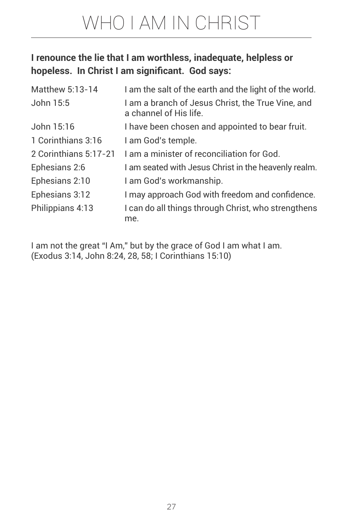# WHO I AM IN CHRIST

### **I renounce the lie that I am worthless, inadequate, helpless or hopeless. In Christ I am significant. God says:**

| Matthew 5:13-14       | I am the salt of the earth and the light of the world.                      |
|-----------------------|-----------------------------------------------------------------------------|
| John 15:5             | I am a branch of Jesus Christ, the True Vine, and<br>a channel of His life. |
| John 15:16            | I have been chosen and appointed to bear fruit.                             |
| 1 Corinthians 3:16    | I am God's temple.                                                          |
| 2 Corinthians 5:17-21 | I am a minister of reconciliation for God.                                  |
| Ephesians 2:6         | I am seated with Jesus Christ in the heavenly realm.                        |
| Ephesians 2:10        | I am God's workmanship.                                                     |
| Ephesians 3:12        | I may approach God with freedom and confidence.                             |
| Philippians 4:13      | I can do all things through Christ, who strengthens<br>me.                  |

I am not the great "I Am," but by the grace of God I am what I am. (Exodus 3:14, John 8:24, 28, 58; I Corinthians 15:10)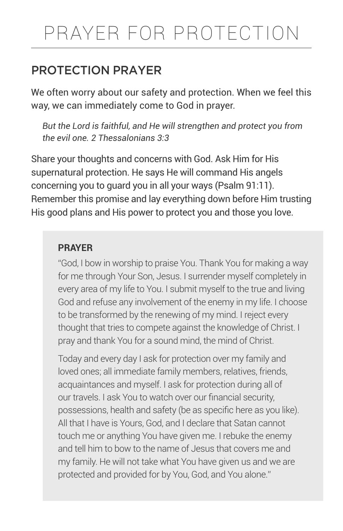# PRAYER FOR PROTECTION

# PROTECTION PRAYER

We often worry about our safety and protection. When we feel this way, we can immediately come to God in prayer.

*But the Lord is faithful, and He will strengthen and protect you from the evil one. 2 Thessalonians 3:3* 

Share your thoughts and concerns with God. Ask Him for His supernatural protection. He says He will command His angels concerning you to guard you in all your ways (Psalm 91:11). Remember this promise and lay everything down before Him trusting His good plans and His power to protect you and those you love.

#### **PRAYER**

"God, I bow in worship to praise You. Thank You for making a way for me through Your Son, Jesus. I surrender myself completely in every area of my life to You. I submit myself to the true and living God and refuse any involvement of the enemy in my life. I choose to be transformed by the renewing of my mind. I reject every thought that tries to compete against the knowledge of Christ. I pray and thank You for a sound mind, the mind of Christ.

Today and every day I ask for protection over my family and loved ones; all immediate family members, relatives, friends, acquaintances and myself. I ask for protection during all of our travels. I ask You to watch over our financial security, possessions, health and safety (be as specific here as you like). All that I have is Yours, God, and I declare that Satan cannot touch me or anything You have given me. I rebuke the enemy and tell him to bow to the name of Jesus that covers me and my family. He will not take what You have given us and we are protected and provided for by You, God, and You alone."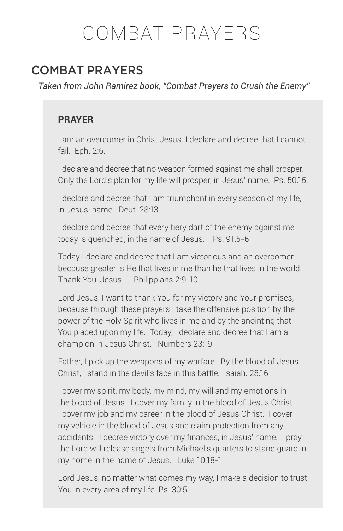# COMBAT PRAYERS

*Taken from John Ramirez book, "Combat Prayers to Crush the Enemy"*

#### **PRAYER**

I am an overcomer in Christ Jesus. I declare and decree that I cannot fail. Eph. 2:6.

I declare and decree that no weapon formed against me shall prosper. Only the Lord's plan for my life will prosper, in Jesus' name. Ps. 50:15.

I declare and decree that I am triumphant in every season of my life, in Jesus' name. Deut. 28:13

I declare and decree that every fiery dart of the enemy against me today is quenched, in the name of Jesus. Ps. 91:5-6

Today I declare and decree that I am victorious and an overcomer because greater is He that lives in me than he that lives in the world. Thank You, Jesus. Philippians 2:9-10

Lord Jesus, I want to thank You for my victory and Your promises, because through these prayers I take the offensive position by the power of the Holy Spirit who lives in me and by the anointing that You placed upon my life. Today, I declare and decree that I am a champion in Jesus Christ. Numbers 23:19

Father, I pick up the weapons of my warfare. By the blood of Jesus Christ, I stand in the devil's face in this battle. Isaiah. 28:16

I cover my spirit, my body, my mind, my will and my emotions in the blood of Jesus. I cover my family in the blood of Jesus Christ. I cover my job and my career in the blood of Jesus Christ. I cover my vehicle in the blood of Jesus and claim protection from any accidents. I decree victory over my finances, in Jesus' name. I pray the Lord will release angels from Michael's quarters to stand guard in my home in the name of Jesus. Luke 10:18-1

Lord Jesus, no matter what comes my way, I make a decision to trust You in every area of my life. Ps. 30:5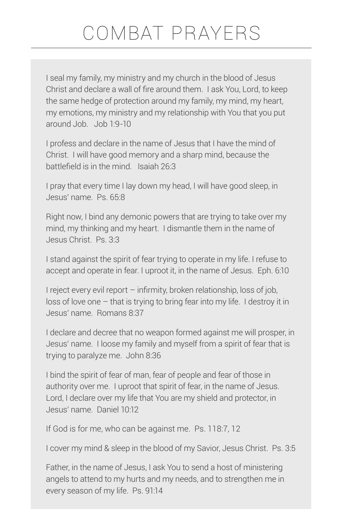I seal my family, my ministry and my church in the blood of Jesus Christ and declare a wall of fire around them. I ask You, Lord, to keep the same hedge of protection around my family, my mind, my heart, my emotions, my ministry and my relationship with You that you put around Job. Job 1:9-10

I profess and declare in the name of Jesus that I have the mind of Christ. I will have good memory and a sharp mind, because the battlefield is in the mind. Isaiah 26:3

I pray that every time I lay down my head, I will have good sleep, in Jesus' name. Ps. 65:8

Right now, I bind any demonic powers that are trying to take over my mind, my thinking and my heart. I dismantle them in the name of Jesus Christ. Ps. 3:3

I stand against the spirit of fear trying to operate in my life. I refuse to accept and operate in fear. I uproot it, in the name of Jesus. Eph. 6:10

I reject every evil report – infirmity, broken relationship, loss of job, loss of love one – that is trying to bring fear into my life. I destroy it in Jesus' name. Romans 8:37

I declare and decree that no weapon formed against me will prosper, in Jesus' name. I loose my family and myself from a spirit of fear that is trying to paralyze me. John 8:36

I bind the spirit of fear of man, fear of people and fear of those in authority over me. I uproot that spirit of fear, in the name of Jesus. Lord, I declare over my life that You are my shield and protector, in Jesus' name. Daniel 10:12

If God is for me, who can be against me. Ps. 118:7, 12

I cover my mind & sleep in the blood of my Savior, Jesus Christ. Ps. 3:5

Father, in the name of Jesus, I ask You to send a host of ministering angels to attend to my hurts and my needs, and to strengthen me in every season of my life. Ps. 91:14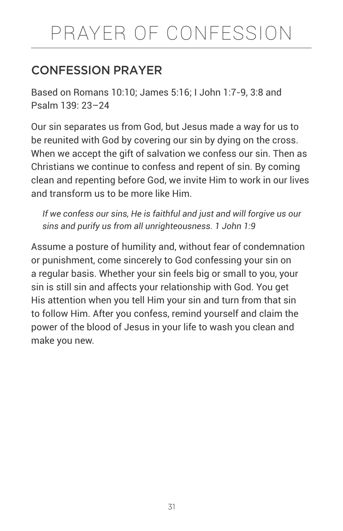# PRAYER OF CONFESSION

# CONFESSION PRAYER

Based on Romans 10:10; James 5:16; I John 1:7-9, 3:8 and Psalm 139: 23–24

Our sin separates us from God, but Jesus made a way for us to be reunited with God by covering our sin by dying on the cross. When we accept the gift of salvation we confess our sin. Then as Christians we continue to confess and repent of sin. By coming clean and repenting before God, we invite Him to work in our lives and transform us to be more like Him.

*If we confess our sins, He is faithful and just and will forgive us our sins and purify us from all unrighteousness. 1 John 1:9* 

Assume a posture of humility and, without fear of condemnation or punishment, come sincerely to God confessing your sin on a regular basis. Whether your sin feels big or small to you, your sin is still sin and affects your relationship with God. You get His attention when you tell Him your sin and turn from that sin to follow Him. After you confess, remind yourself and claim the power of the blood of Jesus in your life to wash you clean and make you new.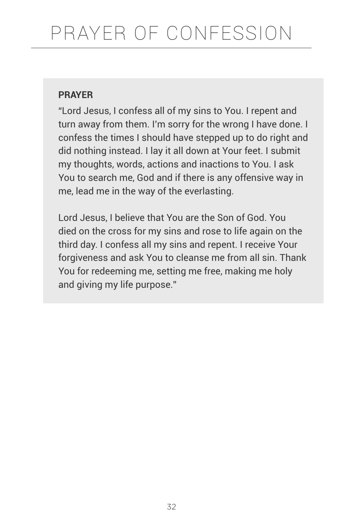"Lord Jesus, I confess all of my sins to You. I repent and turn away from them. I'm sorry for the wrong I have done. I confess the times I should have stepped up to do right and did nothing instead. I lay it all down at Your feet. I submit my thoughts, words, actions and inactions to You. I ask You to search me, God and if there is any offensive way in me, lead me in the way of the everlasting.

Lord Jesus, I believe that You are the Son of God. You died on the cross for my sins and rose to life again on the third day. I confess all my sins and repent. I receive Your forgiveness and ask You to cleanse me from all sin. Thank You for redeeming me, setting me free, making me holy and giving my life purpose."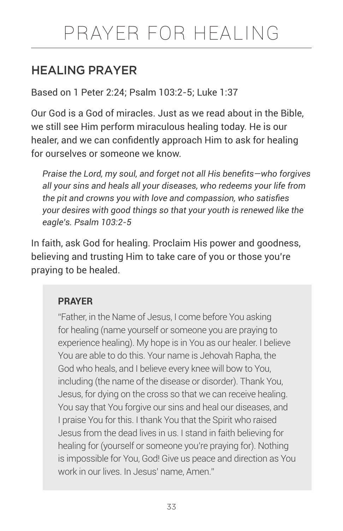# HEALING PRAYER

Based on 1 Peter 2:24; Psalm 103:2-5; Luke 1:37

Our God is a God of miracles. Just as we read about in the Bible, we still see Him perform miraculous healing today. He is our healer, and we can confidently approach Him to ask for healing for ourselves or someone we know.

*Praise the Lord, my soul, and forget not all His benefits—who forgives all your sins and heals all your diseases, who redeems your life from the pit and crowns you with love and compassion, who satisfies your desires with good things so that your youth is renewed like the eagle's. Psalm 103:2-5* 

In faith, ask God for healing. Proclaim His power and goodness, believing and trusting Him to take care of you or those you're praying to be healed.

### **PRAYER**

"Father, in the Name of Jesus, I come before You asking for healing (name yourself or someone you are praying to experience healing). My hope is in You as our healer. I believe You are able to do this. Your name is Jehovah Rapha, the God who heals, and I believe every knee will bow to You, including (the name of the disease or disorder). Thank You, Jesus, for dying on the cross so that we can receive healing. You say that You forgive our sins and heal our diseases, and I praise You for this. I thank You that the Spirit who raised Jesus from the dead lives in us. I stand in faith believing for healing for (yourself or someone you're praying for). Nothing is impossible for You, God! Give us peace and direction as You work in our lives. In Jesus' name, Amen."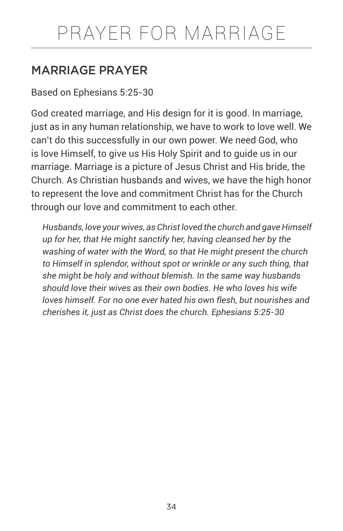# MARRIAGE PRAYER

Based on Ephesians 5:25-30

God created marriage, and His design for it is good. In marriage, just as in any human relationship, we have to work to love well. We can't do this successfully in our own power. We need God, who is love Himself, to give us His Holy Spirit and to guide us in our marriage. Marriage is a picture of Jesus Christ and His bride, the Church. As Christian husbands and wives, we have the high honor to represent the love and commitment Christ has for the Church through our love and commitment to each other.

*Husbands, love your wives, as Christ loved the church and gave Himself up for her, that He might sanctify her, having cleansed her by the washing of water with the Word, so that He might present the church to Himself in splendor, without spot or wrinkle or any such thing, that she might be holy and without blemish. In the same way husbands should love their wives as their own bodies. He who loves his wife loves himself. For no one ever hated his own flesh, but nourishes and cherishes it, just as Christ does the church. Ephesians 5:25-30*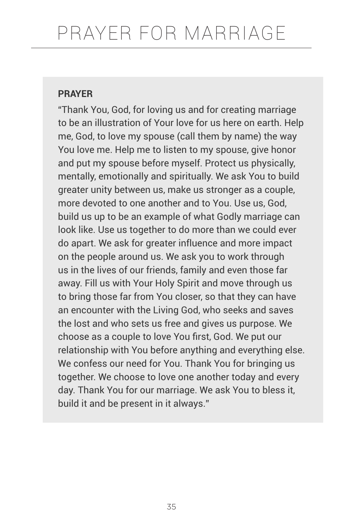"Thank You, God, for loving us and for creating marriage to be an illustration of Your love for us here on earth. Help me, God, to love my spouse (call them by name) the way You love me. Help me to listen to my spouse, give honor and put my spouse before myself. Protect us physically, mentally, emotionally and spiritually. We ask You to build greater unity between us, make us stronger as a couple, more devoted to one another and to You. Use us, God, build us up to be an example of what Godly marriage can look like. Use us together to do more than we could ever do apart. We ask for greater influence and more impact on the people around us. We ask you to work through us in the lives of our friends, family and even those far away. Fill us with Your Holy Spirit and move through us to bring those far from You closer, so that they can have an encounter with the Living God, who seeks and saves the lost and who sets us free and gives us purpose. We choose as a couple to love You first, God. We put our relationship with You before anything and everything else. We confess our need for You. Thank You for bringing us together. We choose to love one another today and every day. Thank You for our marriage. We ask You to bless it, build it and be present in it always."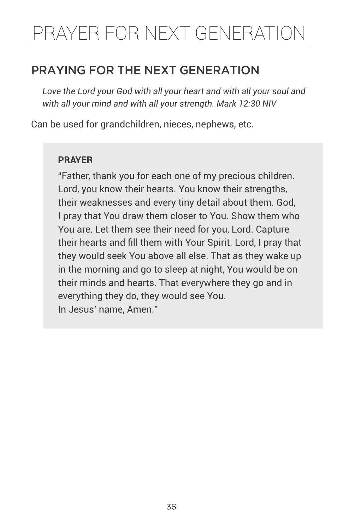# PRAYER FOR NEXT GENERATION

# PRAYING FOR THE NEXT GENERATION

*Love the Lord your God with all your heart and with all your soul and with all your mind and with all your strength. Mark 12:30 NIV*

Can be used for grandchildren, nieces, nephews, etc.

#### **PRAYER**

"Father, thank you for each one of my precious children. Lord, you know their hearts. You know their strengths, their weaknesses and every tiny detail about them. God, I pray that You draw them closer to You. Show them who You are. Let them see their need for you, Lord. Capture their hearts and fill them with Your Spirit. Lord, I pray that they would seek You above all else. That as they wake up in the morning and go to sleep at night, You would be on their minds and hearts. That everywhere they go and in everything they do, they would see You. In Jesus' name, Amen."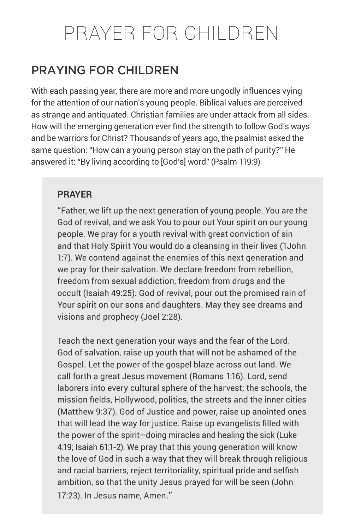# PRAYING FOR CHILDREN

With each passing year, there are more and more ungodly influences vying for the attention of our nation's young people. Biblical values are perceived as strange and antiquated. Christian families are under attack from all sides. How will the emerging generation ever find the strength to follow God's ways and be warriors for Christ? Thousands of years ago, the psalmist asked the same question: "How can a young person stay on the path of purity?" He answered it: "By living according to [God's] word" (Psalm 119:9)

#### **PRAYER**

"Father, we lift up the next generation of young people. You are the God of revival, and we ask You to pour out Your spirit on our young people. We pray for a youth revival with great conviction of sin and that Holy Spirit You would do a cleansing in their lives (1John 1:7). We contend against the enemies of this next generation and we pray for their salvation. We declare freedom from rebellion, freedom from sexual addiction, freedom from drugs and the occult (Isaiah 49:25). God of revival, pour out the promised rain of Your spirit on our sons and daughters. May they see dreams and visions and prophecy (Joel 2:28).

Teach the next generation your ways and the fear of the Lord. God of salvation, raise up youth that will not be ashamed of the Gospel. Let the power of the gospel blaze across out land. We call forth a great Jesus movement (Romans 1:16). Lord, send laborers into every cultural sphere of the harvest; the schools, the mission fields, Hollywood, politics, the streets and the inner cities (Matthew 9:37). God of Justice and power, raise up anointed ones that will lead the way for justice. Raise up evangelists filled with the power of the spirit—doing miracles and healing the sick (Luke 4:19; Isaiah 61:1-2). We pray that this young generation will know the love of God in such a way that they will break through religious and racial barriers, reject territoriality, spiritual pride and selfish ambition, so that the unity Jesus prayed for will be seen (John 17:23). In Jesus name, Amen."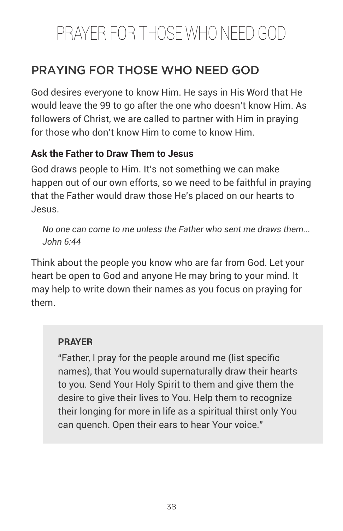# PRAYING FOR THOSE WHO NEED GOD

God desires everyone to know Him. He says in His Word that He would leave the 99 to go after the one who doesn't know Him. As followers of Christ, we are called to partner with Him in praying for those who don't know Him to come to know Him.

### **Ask the Father to Draw Them to Jesus**

God draws people to Him. It's not something we can make happen out of our own efforts, so we need to be faithful in praying that the Father would draw those He's placed on our hearts to Jesus.

*No one can come to me unless the Father who sent me draws them... John 6:44* 

Think about the people you know who are far from God. Let your heart be open to God and anyone He may bring to your mind. It may help to write down their names as you focus on praying for them.

### **PRAYER**

"Father, I pray for the people around me (list specific names), that You would supernaturally draw their hearts to you. Send Your Holy Spirit to them and give them the desire to give their lives to You. Help them to recognize their longing for more in life as a spiritual thirst only You can quench. Open their ears to hear Your voice."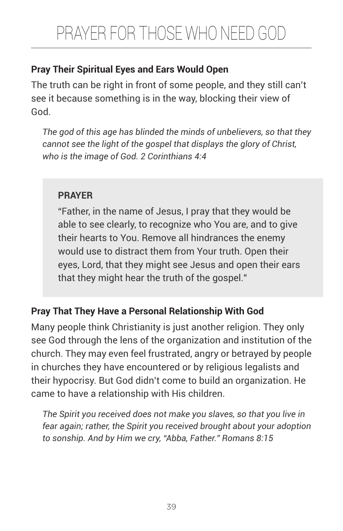# **Pray Their Spiritual Eyes and Ears Would Open**

The truth can be right in front of some people, and they still can't see it because something is in the way, blocking their view of God.

*The god of this age has blinded the minds of unbelievers, so that they cannot see the light of the gospel that displays the glory of Christ, who is the image of God. 2 Corinthians 4:4* 

# **PRAYER**

"Father, in the name of Jesus, I pray that they would be able to see clearly, to recognize who You are, and to give their hearts to You. Remove all hindrances the enemy would use to distract them from Your truth. Open their eyes, Lord, that they might see Jesus and open their ears that they might hear the truth of the gospel."

# **Pray That They Have a Personal Relationship With God**

Many people think Christianity is just another religion. They only see God through the lens of the organization and institution of the church. They may even feel frustrated, angry or betrayed by people in churches they have encountered or by religious legalists and their hypocrisy. But God didn't come to build an organization. He came to have a relationship with His children.

*The Spirit you received does not make you slaves, so that you live in fear again; rather, the Spirit you received brought about your adoption to sonship. And by Him we cry, "Abba, Father." Romans 8:15*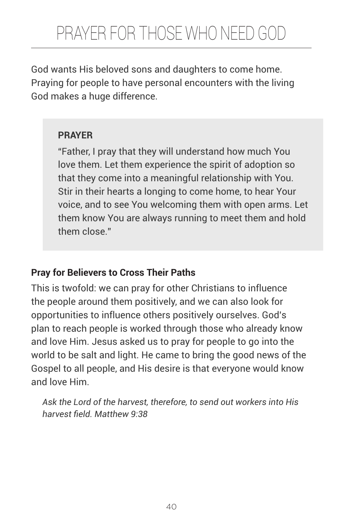God wants His beloved sons and daughters to come home. Praying for people to have personal encounters with the living God makes a huge difference.

#### **PRAYER**

"Father, I pray that they will understand how much You love them. Let them experience the spirit of adoption so that they come into a meaningful relationship with You. Stir in their hearts a longing to come home, to hear Your voice, and to see You welcoming them with open arms. Let them know You are always running to meet them and hold them close."

### **Pray for Believers to Cross Their Paths**

This is twofold: we can pray for other Christians to influence the people around them positively, and we can also look for opportunities to influence others positively ourselves. God's plan to reach people is worked through those who already know and love Him. Jesus asked us to pray for people to go into the world to be salt and light. He came to bring the good news of the Gospel to all people, and His desire is that everyone would know and love Him.

*Ask the Lord of the harvest, therefore, to send out workers into His harvest field. Matthew 9:38*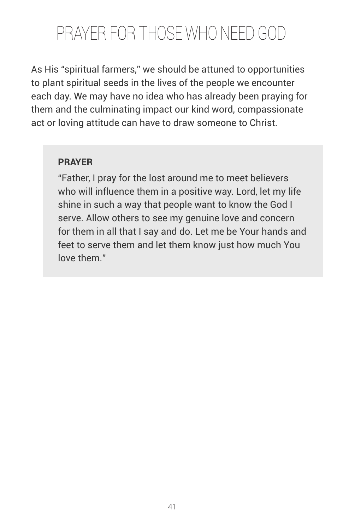As His "spiritual farmers," we should be attuned to opportunities to plant spiritual seeds in the lives of the people we encounter each day. We may have no idea who has already been praying for them and the culminating impact our kind word, compassionate act or loving attitude can have to draw someone to Christ.

### **PRAYER**

"Father, I pray for the lost around me to meet believers who will influence them in a positive way. Lord, let my life shine in such a way that people want to know the God I serve. Allow others to see my genuine love and concern for them in all that I say and do. Let me be Your hands and feet to serve them and let them know just how much You love them."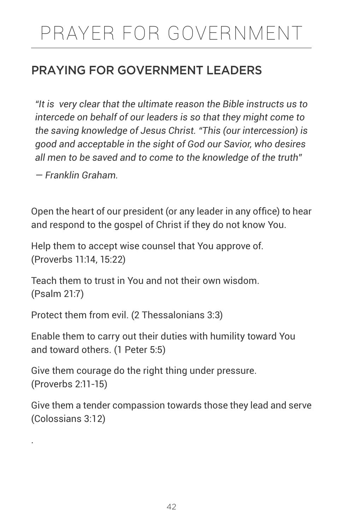# PRAYER FOR GOVERNMENT

# PRAYING FOR GOVERNMENT LEADERS

*"It is very clear that the ultimate reason the Bible instructs us to intercede on behalf of our leaders is so that they might come to the saving knowledge of Jesus Christ. "This (our intercession) is good and acceptable in the sight of God our Savior, who desires all men to be saved and to come to the knowledge of the truth"* 

*— Franklin Graham.*

.

Open the heart of our president (or any leader in any office) to hear and respond to the gospel of Christ if they do not know You.

Help them to accept wise counsel that You approve of. (Proverbs 11:14, 15:22)

Teach them to trust in You and not their own wisdom. (Psalm 21:7)

Protect them from evil. (2 Thessalonians 3:3)

Enable them to carry out their duties with humility toward You and toward others. (1 Peter 5:5)

Give them courage do the right thing under pressure. (Proverbs 2:11-15)

Give them a tender compassion towards those they lead and serve (Colossians 3:12)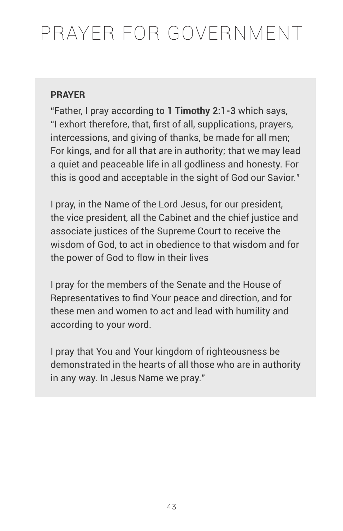"Father, I pray according to **1 Timothy 2:1-3** which says, "I exhort therefore, that, first of all, supplications, prayers, intercessions, and giving of thanks, be made for all men; For kings, and for all that are in authority; that we may lead a quiet and peaceable life in all godliness and honesty. For this is good and acceptable in the sight of God our Savior."

I pray, in the Name of the Lord Jesus, for our president, the vice president, all the Cabinet and the chief justice and associate justices of the Supreme Court to receive the wisdom of God, to act in obedience to that wisdom and for the power of God to flow in their lives

I pray for the members of the Senate and the House of Representatives to find Your peace and direction, and for these men and women to act and lead with humility and according to your word.

I pray that You and Your kingdom of righteousness be demonstrated in the hearts of all those who are in authority in any way. In Jesus Name we pray."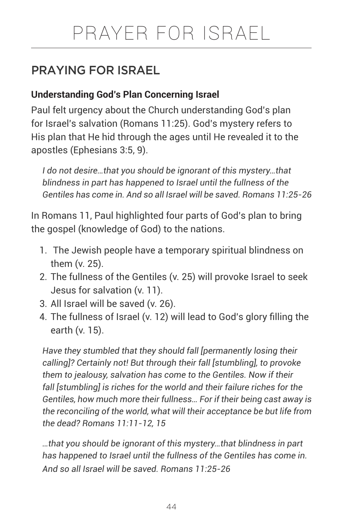# PRAYING FOR ISRAEL

### **Understanding God's Plan Concerning Israel**

Paul felt urgency about the Church understanding God's plan for Israel's salvation (Romans 11:25). God's mystery refers to His plan that He hid through the ages until He revealed it to the apostles (Ephesians 3:5, 9).

*I do not desire…that you should be ignorant of this mystery…that blindness in part has happened to Israel until the fullness of the Gentiles has come in. And so all Israel will be saved. Romans 11:25-26* 

In Romans 11, Paul highlighted four parts of God's plan to bring the gospel (knowledge of God) to the nations.

- 1. The Jewish people have a temporary spiritual blindness on them (v. 25).
- 2. The fullness of the Gentiles (v. 25) will provoke Israel to seek Jesus for salvation (v. 11).
- 3. All Israel will be saved (v. 26).
- 4. The fullness of Israel (v. 12) will lead to God's glory filling the earth (v. 15).

*Have they stumbled that they should fall [permanently losing their calling]? Certainly not! But through their fall [stumbling], to provoke them to jealousy, salvation has come to the Gentiles. Now if their fall [stumbling] is riches for the world and their failure riches for the Gentiles, how much more their fullness… For if their being cast away is the reconciling of the world, what will their acceptance be but life from the dead? Romans 11:11-12, 15*

*…that you should be ignorant of this mystery…that blindness in part has happened to Israel until the fullness of the Gentiles has come in. And so all Israel will be saved. Romans 11:25-26*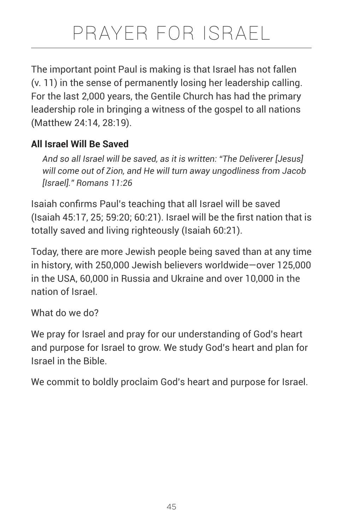The important point Paul is making is that Israel has not fallen (v. 11) in the sense of permanently losing her leadership calling. For the last 2,000 years, the Gentile Church has had the primary leadership role in bringing a witness of the gospel to all nations (Matthew 24:14, 28:19).

# **All Israel Will Be Saved**

*And so all Israel will be saved, as it is written: "The Deliverer [Jesus] will come out of Zion, and He will turn away ungodliness from Jacob [Israel]." Romans 11:26* 

Isaiah confirms Paul's teaching that all Israel will be saved (Isaiah 45:17, 25; 59:20; 60:21). Israel will be the first nation that is totally saved and living righteously (Isaiah 60:21).

Today, there are more Jewish people being saved than at any time in history, with 250,000 Jewish believers worldwide—over 125,000 in the USA, 60,000 in Russia and Ukraine and over 10,000 in the nation of Israel.

What do we do?

We pray for Israel and pray for our understanding of God's heart and purpose for Israel to grow. We study God's heart and plan for Israel in the Bible.

We commit to boldly proclaim God's heart and purpose for Israel.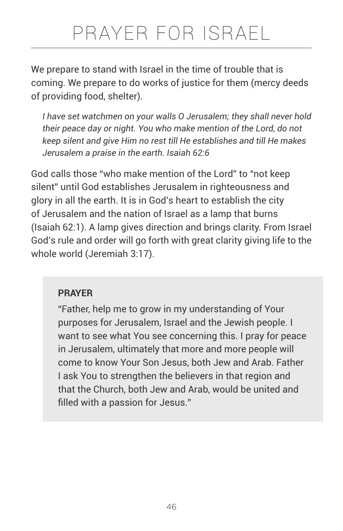# PRAYER FOR ISRAEL

We prepare to stand with Israel in the time of trouble that is coming. We prepare to do works of justice for them (mercy deeds of providing food, shelter).

*I have set watchmen on your walls O Jerusalem; they shall never hold their peace day or night. You who make mention of the Lord, do not keep silent and give Him no rest till He establishes and till He makes Jerusalem a praise in the earth. Isaiah 62:6*

God calls those "who make mention of the Lord" to "not keep silent" until God establishes Jerusalem in righteousness and glory in all the earth. It is in God's heart to establish the city of Jerusalem and the nation of Israel as a lamp that burns (Isaiah 62:1). A lamp gives direction and brings clarity. From Israel God's rule and order will go forth with great clarity giving life to the whole world (Jeremiah 3:17).

#### **PRAYER**

"Father, help me to grow in my understanding of Your purposes for Jerusalem, Israel and the Jewish people. I want to see what You see concerning this. I pray for peace in Jerusalem, ultimately that more and more people will come to know Your Son Jesus, both Jew and Arab. Father I ask You to strengthen the believers in that region and that the Church, both Jew and Arab, would be united and filled with a passion for Jesus."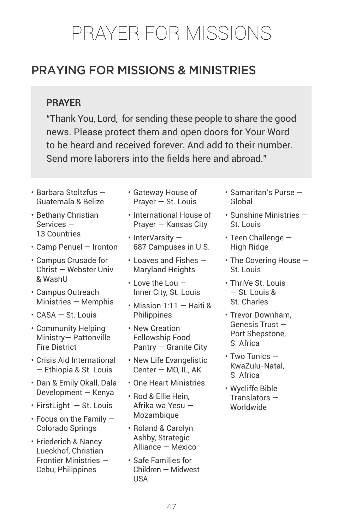# PRAYING FOR MISSIONS & MINISTRIES

### **PRAYER**

"Thank You, Lord, for sending these people to share the good news. Please protect them and open doors for Your Word to be heard and received forever. And add to their number. Send more laborers into the fields here and abroad."

- Barbara Stoltzfus Guatemala & Belize
- Bethany Christian Services — 13 Countries
- Camp Penuel Ironton
- Campus Crusade for Christ — Webster Univ & WashU
- Campus Outreach Ministries — Memphis
- CASA St. Louis
- Community Helping Ministry— Pattonville Fire District
- Crisis Aid International — Ethiopia & St. Louis
- Dan & Emily Okall, Dala Development — Kenya
- $\cdot$  FirstLight  $-$  St. Louis
- Focus on the Family Colorado Springs
- Friederich & Nancy Lueckhof, Christian Frontier Ministries — Cebu, Philippines
- Gateway House of Prayer — St. Louis
- International House of Prayer — Kansas City
- InterVarsity 687 Campuses in U.S.
- Loaves and Fishes Maryland Heights
- $\cdot$  Love the Lou  $-$ Inner City, St. Louis
- Mission 1:11 Haiti & **Philippines**
- New Creation Fellowship Food Pantry — Granite City
- New Life Evangelistic Center — MO, IL, AK
- One Heart Ministries
- Rod & Ellie Hein, Afrika wa Yesu — Mozambique
- Roland & Carolyn Ashby, Strategic Alliance — Mexico
- Safe Families for Children — Midwest USA
- Samaritan's Purse Global
- Sunshine Ministries St. Louis
- Teen Challenge High Ridge
- The Covering House St. Louis
- ThriVe St. Louis — St. Louis & St. Charles
- Trevor Downham, Genesis Trust — Port Shepstone, S. Africa
- Two Tunics KwaZulu-Natal, S. Africa
- Wycliffe Bible Translators — Worldwide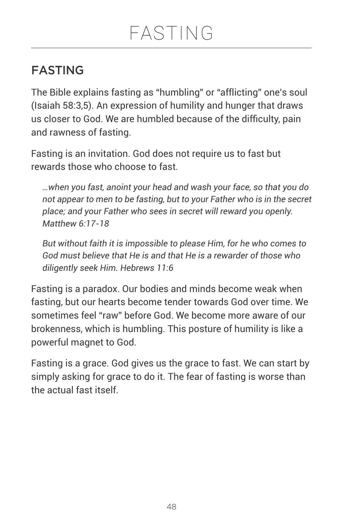# FASTING

The Bible explains fasting as "humbling" or "afflicting" one's soul (Isaiah 58:3,5). An expression of humility and hunger that draws us closer to God. We are humbled because of the difficulty, pain and rawness of fasting.

Fasting is an invitation. God does not require us to fast but rewards those who choose to fast.

*…when you fast, anoint your head and wash your face, so that you do not appear to men to be fasting, but to your Father who is in the secret place; and your Father who sees in secret will reward you openly. Matthew 6:17-18*

*But without faith it is impossible to please Him, for he who comes to God must believe that He is and that He is a rewarder of those who diligently seek Him. Hebrews 11:6* 

Fasting is a paradox. Our bodies and minds become weak when fasting, but our hearts become tender towards God over time. We sometimes feel "raw" before God. We become more aware of our brokenness, which is humbling. This posture of humility is like a powerful magnet to God.

Fasting is a grace. God gives us the grace to fast. We can start by simply asking for grace to do it. The fear of fasting is worse than the actual fast itself.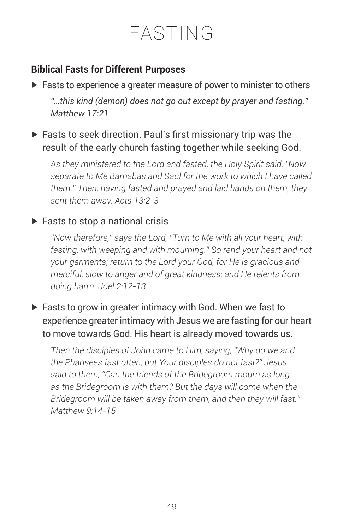### **Biblical Fasts for Different Purposes**

▶ Fasts to experience a greater measure of power to minister to others *"…this kind (demon) does not go out except by prayer and fasting." Matthew 17:21*

# ▶ Fasts to seek direction. Paul's first missionary trip was the result of the early church fasting together while seeking God.

*As they ministered to the Lord and fasted, the Holy Spirit said, "Now separate to Me Barnabas and Saul for the work to which I have called them." Then, having fasted and prayed and laid hands on them, they sent them away. Acts 13:2-3*

# $\blacktriangleright$  Fasts to stop a national crisis

*"Now therefore," says the Lord, "Turn to Me with all your heart, with*  fasting, with weeping and with mourning." So rend your heart and not *your garments; return to the Lord your God, for He is gracious and merciful, slow to anger and of great kindness; and He relents from doing harm. Joel 2:12-13*

# $\blacktriangleright$  Fasts to grow in greater intimacy with God. When we fast to experience greater intimacy with Jesus we are fasting for our heart to move towards God. His heart is already moved towards us.

*Then the disciples of John came to Him, saying, "Why do we and the Pharisees fast often, but Your disciples do not fast?" Jesus said to them, "Can the friends of the Bridegroom mourn as long as the Bridegroom is with them? But the days will come when the Bridegroom will be taken away from them, and then they will fast." Matthew 9:14-15*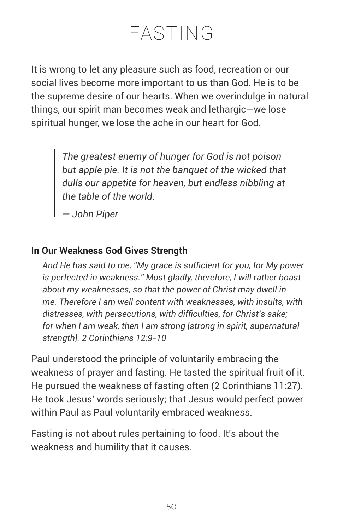It is wrong to let any pleasure such as food, recreation or our social lives become more important to us than God. He is to be the supreme desire of our hearts. When we overindulge in natural things, our spirit man becomes weak and lethargic—we lose spiritual hunger, we lose the ache in our heart for God.

> *The greatest enemy of hunger for God is not poison but apple pie. It is not the banquet of the wicked that dulls our appetite for heaven, but endless nibbling at the table of the world.*

*— John Piper* 

#### **In Our Weakness God Gives Strength**

*And He has said to me, "My grace is sufficient for you, for My power is perfected in weakness." Most gladly, therefore, I will rather boast about my weaknesses, so that the power of Christ may dwell in me. Therefore I am well content with weaknesses, with insults, with distresses, with persecutions, with difficulties, for Christ's sake; for when I am weak, then I am strong [strong in spirit, supernatural strength]. 2 Corinthians 12:9-10*

Paul understood the principle of voluntarily embracing the weakness of prayer and fasting. He tasted the spiritual fruit of it. He pursued the weakness of fasting often (2 Corinthians 11:27). He took Jesus' words seriously; that Jesus would perfect power within Paul as Paul voluntarily embraced weakness.

Fasting is not about rules pertaining to food. It's about the weakness and humility that it causes.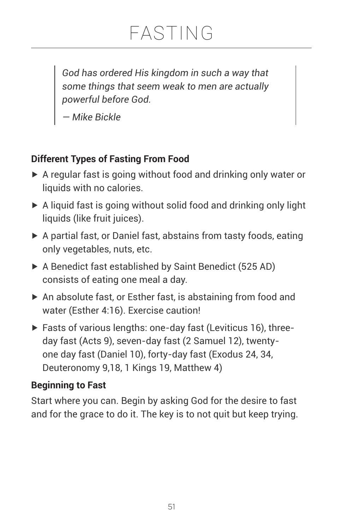*God has ordered His kingdom in such a way that some things that seem weak to men are actually powerful before God.* 

*— Mike Bickle* 

# **Different Types of Fasting From Food**

- ▶ A regular fast is going without food and drinking only water or liquids with no calories.
- $\triangleright$  A liquid fast is going without solid food and drinking only light liquids (like fruit juices).
- ▶ A partial fast, or Daniel fast, abstains from tasty foods, eating only vegetables, nuts, etc.
- ▶ A Benedict fast established by Saint Benedict (525 AD) consists of eating one meal a day.
- ▶ An absolute fast, or Esther fast, is abstaining from food and water (Esther 4:16). Exercise caution!
- ▶ Fasts of various lengths: one-day fast (Leviticus 16), threeday fast (Acts 9), seven-day fast (2 Samuel 12), twentyone day fast (Daniel 10), forty-day fast (Exodus 24, 34, Deuteronomy 9,18, 1 Kings 19, Matthew 4)

### **Beginning to Fast**

Start where you can. Begin by asking God for the desire to fast and for the grace to do it. The key is to not quit but keep trying.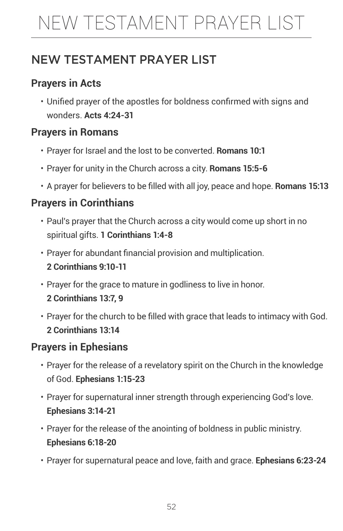# NEW TESTAMENT PRAYER LIST

# NEW TESTAMENT PRAYER LIST

# **Prayers in Acts**

• Unified prayer of the apostles for boldness confirmed with signs and wonders. **Acts 4:24-31**

# **Prayers in Romans**

- Prayer for Israel and the lost to be converted. **Romans 10:1**
- Prayer for unity in the Church across a city. **Romans 15:5-6**
- A prayer for believers to be filled with all joy, peace and hope. **Romans 15:13**

# **Prayers in Corinthians**

- Paul's prayer that the Church across a city would come up short in no spiritual gifts. **1 Corinthians 1:4-8**
- Prayer for abundant financial provision and multiplication. **2 Corinthians 9:10-11**
- Prayer for the grace to mature in godliness to live in honor. **2 Corinthians 13:7, 9**
- Prayer for the church to be filled with grace that leads to intimacy with God. **2 Corinthians 13:14**

### **Prayers in Ephesians**

- Prayer for the release of a revelatory spirit on the Church in the knowledge of God. **Ephesians 1:15-23**
- Prayer for supernatural inner strength through experiencing God's love. **Ephesians 3:14-21**
- Prayer for the release of the anointing of boldness in public ministry. **Ephesians 6:18-20**
- Prayer for supernatural peace and love, faith and grace. **Ephesians 6:23-24**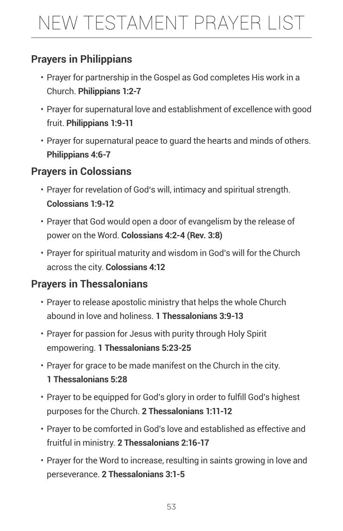# NEW TESTAMENT PRAYER LIST

# **Prayers in Philippians**

- Prayer for partnership in the Gospel as God completes His work in a Church. **Philippians 1:2-7**
- Prayer for supernatural love and establishment of excellence with good fruit. **Philippians 1:9-11**
- Prayer for supernatural peace to guard the hearts and minds of others. **Philippians 4:6-7**

# **Prayers in Colossians**

- Prayer for revelation of God's will, intimacy and spiritual strength. **Colossians 1:9-12**
- Prayer that God would open a door of evangelism by the release of power on the Word. **Colossians 4:2-4 (Rev. 3:8)**
- Prayer for spiritual maturity and wisdom in God's will for the Church across the city. **Colossians 4:12**

# **Prayers in Thessalonians**

- Prayer to release apostolic ministry that helps the whole Church abound in love and holiness. **1 Thessalonians 3:9-13**
- Prayer for passion for Jesus with purity through Holy Spirit empowering. **1 Thessalonians 5:23-25**
- Prayer for grace to be made manifest on the Church in the city. **1 Thessalonians 5:28**
- Prayer to be equipped for God's glory in order to fulfill God's highest purposes for the Church. **2 Thessalonians 1:11-12**
- Prayer to be comforted in God's love and established as effective and fruitful in ministry. **2 Thessalonians 2:16-17**
- Prayer for the Word to increase, resulting in saints growing in love and perseverance. **2 Thessalonians 3:1-5**